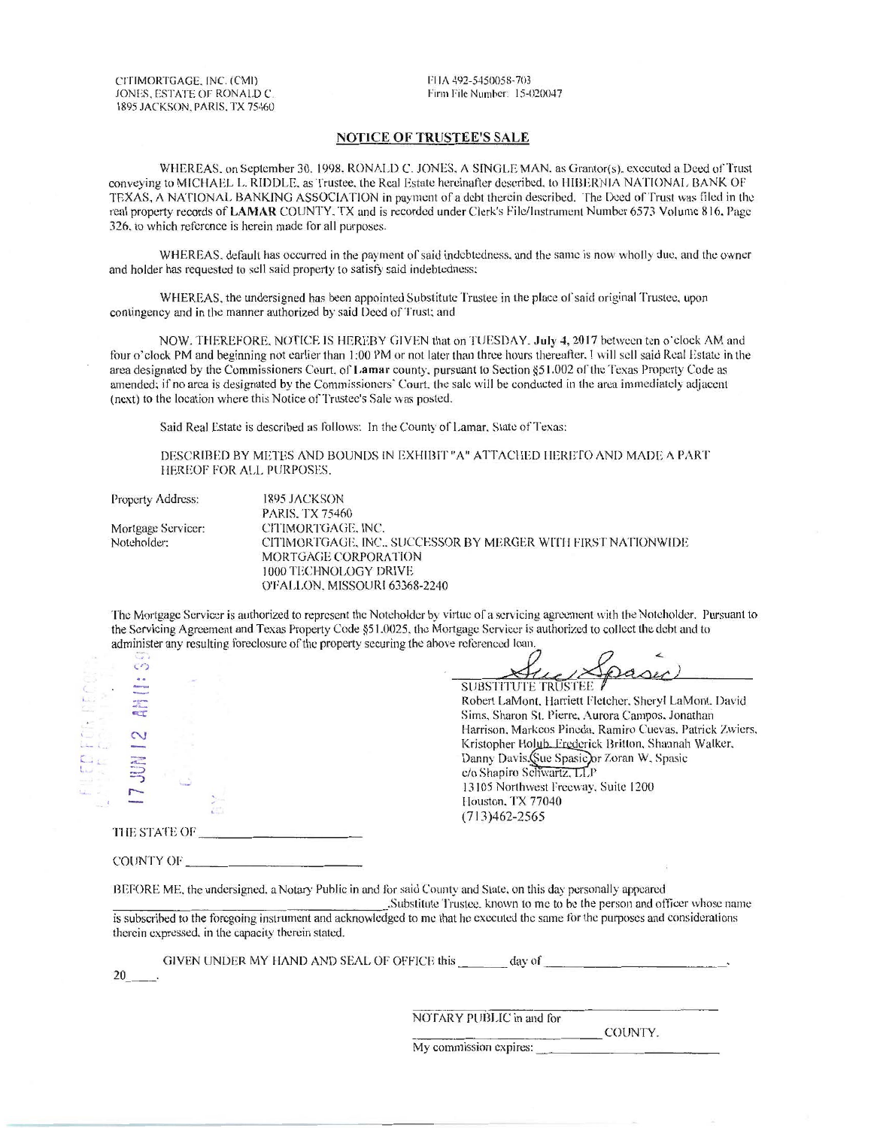CITIMORTGAGE, INC. (CMI) JONES, ESTATE OF RONALD C. 1895 JACKSON. PARIS. TX 75460 FIIA 492-5450058-703 Firm File Number: 15-020047

## NOTICE OF TRUSTEE'S SALE

WHEREAS. on September 30, 1998, RONALD C. JONES, A SINGLE MAN, as Grantor(s), executed a Deed of Trust conveying to MICHAEL L. RIDDLE, as Trustee, the Real Estate hereinafter described, to HIBERNIA NATIONAL BANK OF TEXAS, A NATIONAL BANKING ASSOCIATION in payment of a debt therein described. The Deed of Trust was filed in the real property records of LAMAR COUNTY. TX and is recorded under Clerk's File/Instrument Number 6573 Volume 816. Page 326. to which reference is herein made for all purposes.

WHEREAS, default has occurred in the payment of said indebtedness, and the same is now wholly due, and the owner and holder has requested to sell said property to satisfy said indebtedness:

WHEREAS. the undersigned has been appointed Substitute Trustee in the place of said original Trustee. upon contingency and in the manner authorized by said Deed of Trust: and

NOW. THEREFORE. NOTICE IS HEREBY GIVEN that on TUESDAY. July 4, 2017 between ten o'clock AM and four o'clock PM and beginning not earlier than 1:00 PM or not later than three hours thereafter. I will sell said Real Estate in the area designated by the Commissioners Court. of Lamar county. pursuant to Section §51.002 of the Texas Property Code as amended: if no area is designated by the Commissioners· Court. the sale will be conducted in the area immediately adjacent (next) to the location where this Notice or Trustee's Sale was posted.

Said Real Estate is described as follows: In the County of Lamar. State of Texas:

DESCRIBED BY METES AND BOUNDS IN EXHIBIT "A" ATTACHED HERETO AND MADE A PART I IEREOF FOR ALL PURPOSES.

| <b>Property Address:</b> | 1895 JACKSON                                                  |
|--------------------------|---------------------------------------------------------------|
|                          | <b>PARIS, TX 75460</b>                                        |
| Mortgage Servicer:       | CITIMORTGAGE, INC.                                            |
| Noteholder:              | CITIMORTGAGE. INC., SUCCESSOR BY MERGER WITH FIRST NATIONWIDE |
|                          | MORTGAGE CORPORATION                                          |
|                          | 1000 TECHNOLOGY DRIVE                                         |
|                          | O'FALLON, MISSOURI 63368-2240                                 |

The Mortgage Servicer is authorized to represent the Noteholder by virtue of a servicing agreement with the Noteholder. Pursuant to the Servicing Agreement and Texas Property Code §51.0025, the Mortgage Servicer is authorized to collect the debt and to administer any resulting foreclosure of the property securing the above referenced loan.

|                | $\frac{1}{2}$                                     |              |                                                          |
|----------------|---------------------------------------------------|--------------|----------------------------------------------------------|
|                | $\zeta$                                           |              | Dager                                                    |
|                |                                                   |              | <b>SUBSTITUTE TRUSTEE</b>                                |
|                | <b><i><u>DYAN ANTIST</u></i></b><br>$\frac{1}{2}$ |              | Robert LaMont, Harriett Fletcher, Sheryl LaMont. David   |
|                | <b>CLT</b>                                        |              | Sims, Sharon St. Pierre, Aurora Campos, Jonathan         |
|                |                                                   |              | Harrison, Markeos Pineda, Ramiro Cuevas, Patrick Zwiers, |
| $L_{\rm{obs}}$ | $\sim$                                            |              | Kristopher Holub, Frederick Britton, Shannah Walker,     |
|                | $\overline{\mathcal{M}}$                          |              | Danny Davis (Sue Spasic) or Zoran W. Spasic              |
|                | William<br>=                                      |              | c/o Shapiro Schwartz, LLP                                |
|                |                                                   |              | 13105 Northwest Freeway, Suite 1200                      |
|                |                                                   |              | Houston, TX 77040                                        |
|                |                                                   |              | $(713)462 - 2565$                                        |
|                |                                                   |              |                                                          |
|                |                                                   | THE STATE OF |                                                          |

COUNTY OF \_\_\_\_\_\_\_\_\_ \_

20

BEFORE ME, the undersigned, a Notary Public in and for said County and State, on this day personally appeared

.Substitute Trustee. known to me to be the person and officer whose name is subscribed to the foregoing instrument and acknowledged to me that he executed the same for the purposes and considerations therein expressed. in the capacity therein stated.

|                                             | My commission expires: |                          |  |
|---------------------------------------------|------------------------|--------------------------|--|
|                                             |                        | COUNTY.                  |  |
|                                             |                        | NOTARY PUBLIC in and for |  |
|                                             |                        |                          |  |
|                                             |                        |                          |  |
| GIVEN UNDER MY HAND AND SEAL OF OFFICE this |                        | day of                   |  |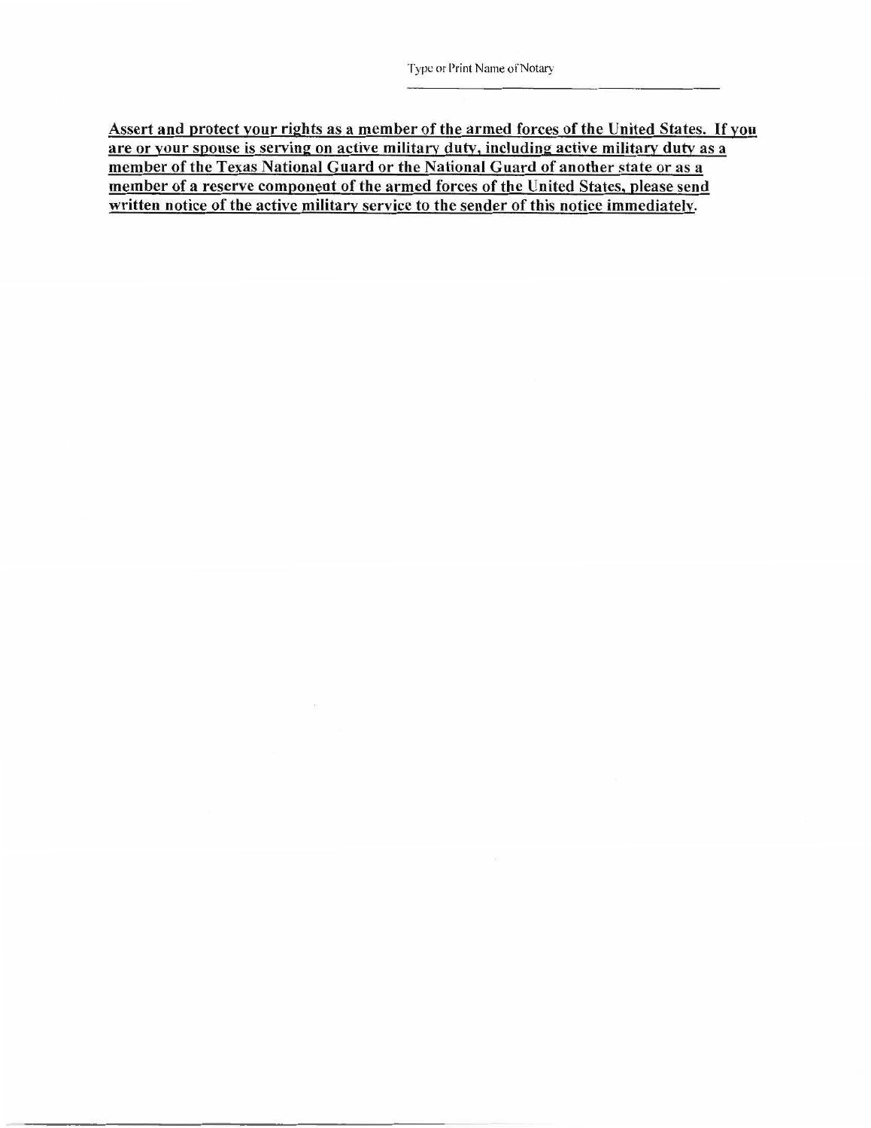Assert and protect your rights as a member of the armed forces of the United States. If you are or your spouse is serving on active military duty, including active military duty as a member of the Texas National Guard or the National Guard of another state or as a member of a reserve component of the armed forces of the United States, please send written notice of the active military service to the sender of this notice immediately.